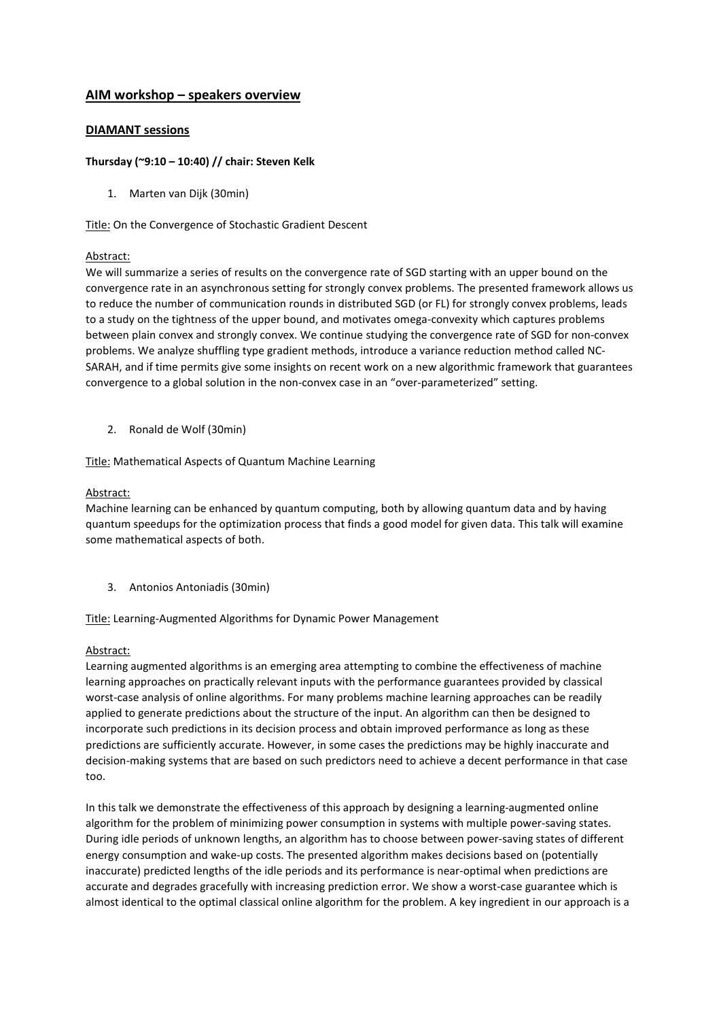# **AIM workshop – speakers overview**

### **DIAMANT sessions**

#### **Thursday (~9:10 – 10:40) // chair: Steven Kelk**

1. Marten van Dijk (30min)

Title: On the Convergence of Stochastic Gradient Descent

#### Abstract:

We will summarize a series of results on the convergence rate of SGD starting with an upper bound on the convergence rate in an asynchronous setting for strongly convex problems. The presented framework allows us to reduce the number of communication rounds in distributed SGD (or FL) for strongly convex problems, leads to a study on the tightness of the upper bound, and motivates omega-convexity which captures problems between plain convex and strongly convex. We continue studying the convergence rate of SGD for non-convex problems. We analyze shuffling type gradient methods, introduce a variance reduction method called NC-SARAH, and if time permits give some insights on recent work on a new algorithmic framework that guarantees convergence to a global solution in the non-convex case in an "over-parameterized" setting.

2. Ronald de Wolf (30min)

Title: Mathematical Aspects of Quantum Machine Learning

#### Abstract:

Machine learning can be enhanced by quantum computing, both by allowing quantum data and by having quantum speedups for the optimization process that finds a good model for given data. This talk will examine some mathematical aspects of both.

3. Antonios Antoniadis (30min)

Title: Learning-Augmented Algorithms for Dynamic Power Management

#### Abstract:

Learning augmented algorithms is an emerging area attempting to combine the effectiveness of machine learning approaches on practically relevant inputs with the performance guarantees provided by classical worst-case analysis of online algorithms. For many problems machine learning approaches can be readily applied to generate predictions about the structure of the input. An algorithm can then be designed to incorporate such predictions in its decision process and obtain improved performance as long as these predictions are sufficiently accurate. However, in some cases the predictions may be highly inaccurate and decision-making systems that are based on such predictors need to achieve a decent performance in that case too.

In this talk we demonstrate the effectiveness of this approach by designing a learning-augmented online algorithm for the problem of minimizing power consumption in systems with multiple power-saving states. During idle periods of unknown lengths, an algorithm has to choose between power-saving states of different energy consumption and wake-up costs. The presented algorithm makes decisions based on (potentially inaccurate) predicted lengths of the idle periods and its performance is near-optimal when predictions are accurate and degrades gracefully with increasing prediction error. We show a worst-case guarantee which is almost identical to the optimal classical online algorithm for the problem. A key ingredient in our approach is a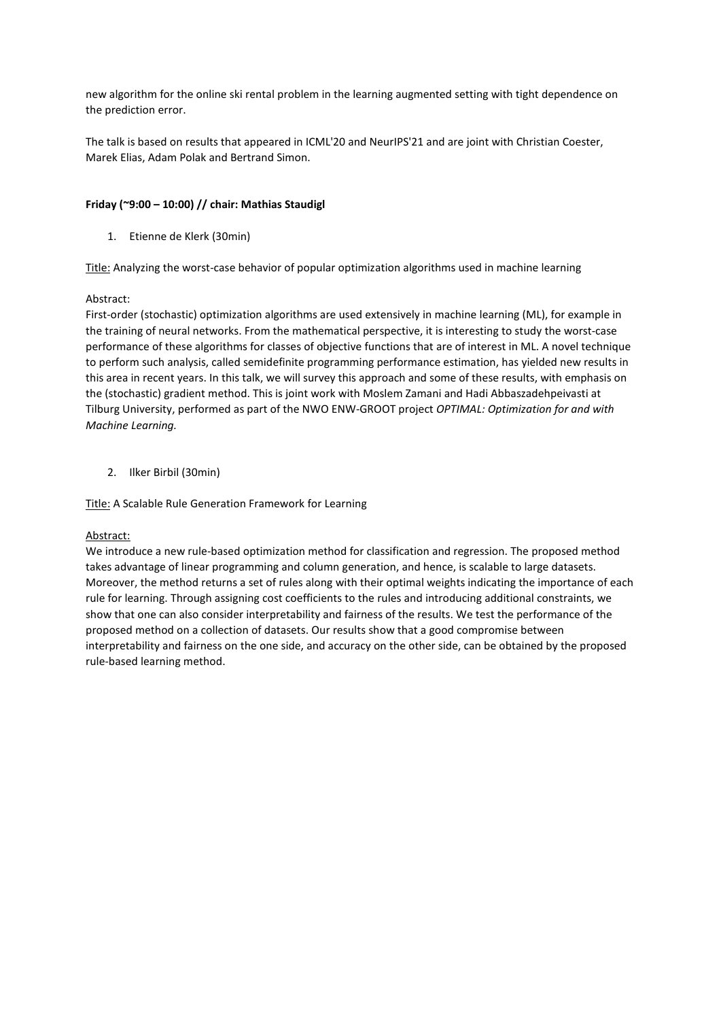new algorithm for the online ski rental problem in the learning augmented setting with tight dependence on the prediction error.

The talk is based on results that appeared in ICML'20 and NeurIPS'21 and are joint with Christian Coester, Marek Elias, Adam Polak and Bertrand Simon.

## **Friday (~9:00 – 10:00) // chair: Mathias Staudigl**

1. Etienne de Klerk (30min)

Title: Analyzing the worst-case behavior of popular optimization algorithms used in machine learning

## Abstract:

First-order (stochastic) optimization algorithms are used extensively in machine learning (ML), for example in the training of neural networks. From the mathematical perspective, it is interesting to study the worst-case performance of these algorithms for classes of objective functions that are of interest in ML. A novel technique to perform such analysis, called semidefinite programming performance estimation, has yielded new results in this area in recent years. In this talk, we will survey this approach and some of these results, with emphasis on the (stochastic) gradient method. This is joint work with Moslem Zamani and Hadi Abbaszadehpeivasti at Tilburg University, performed as part of the NWO ENW-GROOT project *OPTIMAL: Optimization for and with Machine Learning.*

2. Ilker Birbil (30min)

Title: A Scalable Rule Generation Framework for Learning

#### Abstract:

We introduce a new rule-based optimization method for classification and regression. The proposed method takes advantage of linear programming and column generation, and hence, is scalable to large datasets. Moreover, the method returns a set of rules along with their optimal weights indicating the importance of each rule for learning. Through assigning cost coefficients to the rules and introducing additional constraints, we show that one can also consider interpretability and fairness of the results. We test the performance of the proposed method on a collection of datasets. Our results show that a good compromise between interpretability and fairness on the one side, and accuracy on the other side, can be obtained by the proposed rule-based learning method.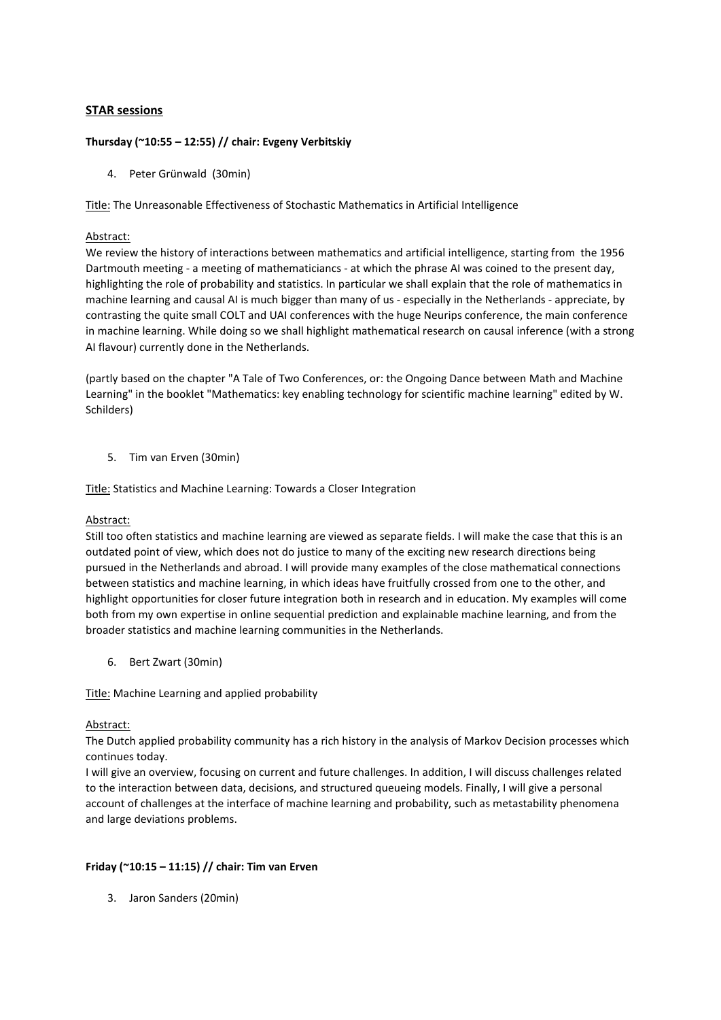## **STAR sessions**

## **Thursday (~10:55 – 12:55) // chair: Evgeny Verbitskiy**

4. Peter Grünwald (30min)

Title: The Unreasonable Effectiveness of Stochastic Mathematics in Artificial Intelligence

### Abstract:

We review the history of interactions between mathematics and artificial intelligence, starting from the 1956 Dartmouth meeting - a meeting of mathematiciancs - at which the phrase AI was coined to the present day, highlighting the role of probability and statistics. In particular we shall explain that the role of mathematics in machine learning and causal AI is much bigger than many of us - especially in the Netherlands - appreciate, by contrasting the quite small COLT and UAI conferences with the huge Neurips conference, the main conference in machine learning. While doing so we shall highlight mathematical research on causal inference (with a strong AI flavour) currently done in the Netherlands.

(partly based on the chapter "A Tale of Two Conferences, or: the Ongoing Dance between Math and Machine Learning" in the booklet "Mathematics: key enabling technology for scientific machine learning" edited by W. Schilders)

5. Tim van Erven (30min)

Title: Statistics and Machine Learning: Towards a Closer Integration

#### Abstract:

Still too often statistics and machine learning are viewed as separate fields. I will make the case that this is an outdated point of view, which does not do justice to many of the exciting new research directions being pursued in the Netherlands and abroad. I will provide many examples of the close mathematical connections between statistics and machine learning, in which ideas have fruitfully crossed from one to the other, and highlight opportunities for closer future integration both in research and in education. My examples will come both from my own expertise in online sequential prediction and explainable machine learning, and from the broader statistics and machine learning communities in the Netherlands.

6. Bert Zwart (30min)

Title: Machine Learning and applied probability

#### Abstract:

The Dutch applied probability community has a rich history in the analysis of Markov Decision processes which continues today.

I will give an overview, focusing on current and future challenges. In addition, I will discuss challenges related to the interaction between data, decisions, and structured queueing models. Finally, I will give a personal account of challenges at the interface of machine learning and probability, such as metastability phenomena and large deviations problems.

## **Friday (~10:15 – 11:15) // chair: Tim van Erven**

3. Jaron Sanders (20min)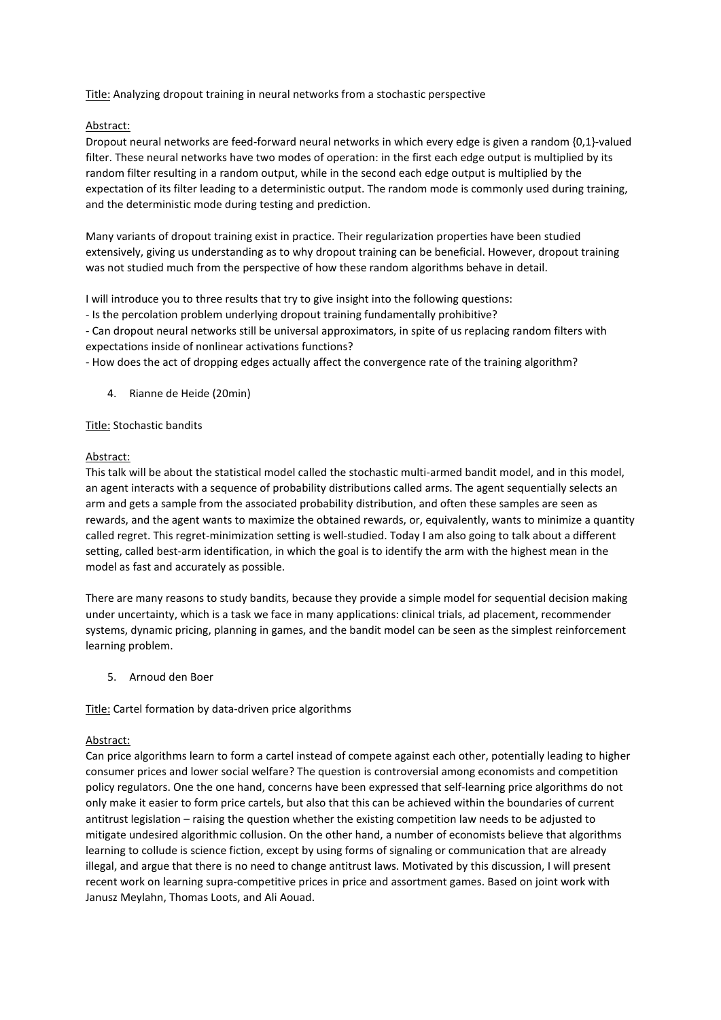Title: Analyzing dropout training in neural networks from a stochastic perspective

## Abstract:

Dropout neural networks are feed-forward neural networks in which every edge is given a random {0,1}-valued filter. These neural networks have two modes of operation: in the first each edge output is multiplied by its random filter resulting in a random output, while in the second each edge output is multiplied by the expectation of its filter leading to a deterministic output. The random mode is commonly used during training, and the deterministic mode during testing and prediction.

Many variants of dropout training exist in practice. Their regularization properties have been studied extensively, giving us understanding as to why dropout training can be beneficial. However, dropout training was not studied much from the perspective of how these random algorithms behave in detail.

I will introduce you to three results that try to give insight into the following questions:

- Is the percolation problem underlying dropout training fundamentally prohibitive?

- Can dropout neural networks still be universal approximators, in spite of us replacing random filters with expectations inside of nonlinear activations functions?

- How does the act of dropping edges actually affect the convergence rate of the training algorithm?

4. Rianne de Heide (20min)

#### Title: Stochastic bandits

#### Abstract:

This talk will be about the statistical model called the stochastic multi-armed bandit model, and in this model, an agent interacts with a sequence of probability distributions called arms. The agent sequentially selects an arm and gets a sample from the associated probability distribution, and often these samples are seen as rewards, and the agent wants to maximize the obtained rewards, or, equivalently, wants to minimize a quantity called regret. This regret-minimization setting is well-studied. Today I am also going to talk about a different setting, called best-arm identification, in which the goal is to identify the arm with the highest mean in the model as fast and accurately as possible.

There are many reasons to study bandits, because they provide a simple model for sequential decision making under uncertainty, which is a task we face in many applications: clinical trials, ad placement, recommender systems, dynamic pricing, planning in games, and the bandit model can be seen as the simplest reinforcement learning problem.

5. Arnoud den Boer

Title: Cartel formation by data-driven price algorithms

#### Abstract:

Can price algorithms learn to form a cartel instead of compete against each other, potentially leading to higher consumer prices and lower social welfare? The question is controversial among economists and competition policy regulators. One the one hand, concerns have been expressed that self-learning price algorithms do not only make it easier to form price cartels, but also that this can be achieved within the boundaries of current antitrust legislation – raising the question whether the existing competition law needs to be adjusted to mitigate undesired algorithmic collusion. On the other hand, a number of economists believe that algorithms learning to collude is science fiction, except by using forms of signaling or communication that are already illegal, and argue that there is no need to change antitrust laws. Motivated by this discussion, I will present recent work on learning supra-competitive prices in price and assortment games. Based on joint work with Janusz Meylahn, Thomas Loots, and Ali Aouad.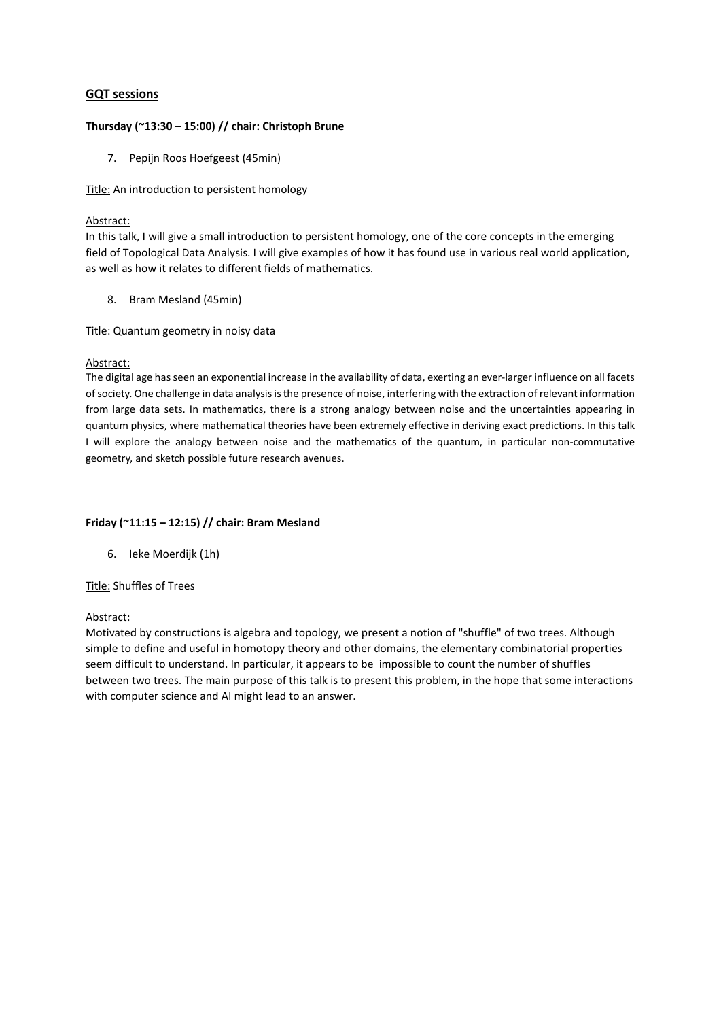## **GQT sessions**

#### **Thursday (~13:30 – 15:00) // chair: Christoph Brune**

7. Pepijn Roos Hoefgeest (45min)

Title: An introduction to persistent homology

#### Abstract:

In this talk, I will give a small introduction to persistent homology, one of the core concepts in the emerging field of Topological Data Analysis. I will give examples of how it has found use in various real world application, as well as how it relates to different fields of mathematics.

8. Bram Mesland (45min)

Title: Quantum geometry in noisy data

#### Abstract:

The digital age has seen an exponential increase in the availability of data, exerting an ever-larger influence on all facets of society. One challenge in data analysis is the presence of noise, interfering with the extraction of relevant information from large data sets. In mathematics, there is a strong analogy between noise and the uncertainties appearing in quantum physics, where mathematical theories have been extremely effective in deriving exact predictions. In this talk I will explore the analogy between noise and the mathematics of the quantum, in particular non-commutative geometry, and sketch possible future research avenues.

#### **Friday (~11:15 – 12:15) // chair: Bram Mesland**

6. Ieke Moerdijk (1h)

#### Title: Shuffles of Trees

#### Abstract:

Motivated by constructions is algebra and topology, we present a notion of "shuffle" of two trees. Although simple to define and useful in homotopy theory and other domains, the elementary combinatorial properties seem difficult to understand. In particular, it appears to be impossible to count the number of shuffles between two trees. The main purpose of this talk is to present this problem, in the hope that some interactions with computer science and AI might lead to an answer.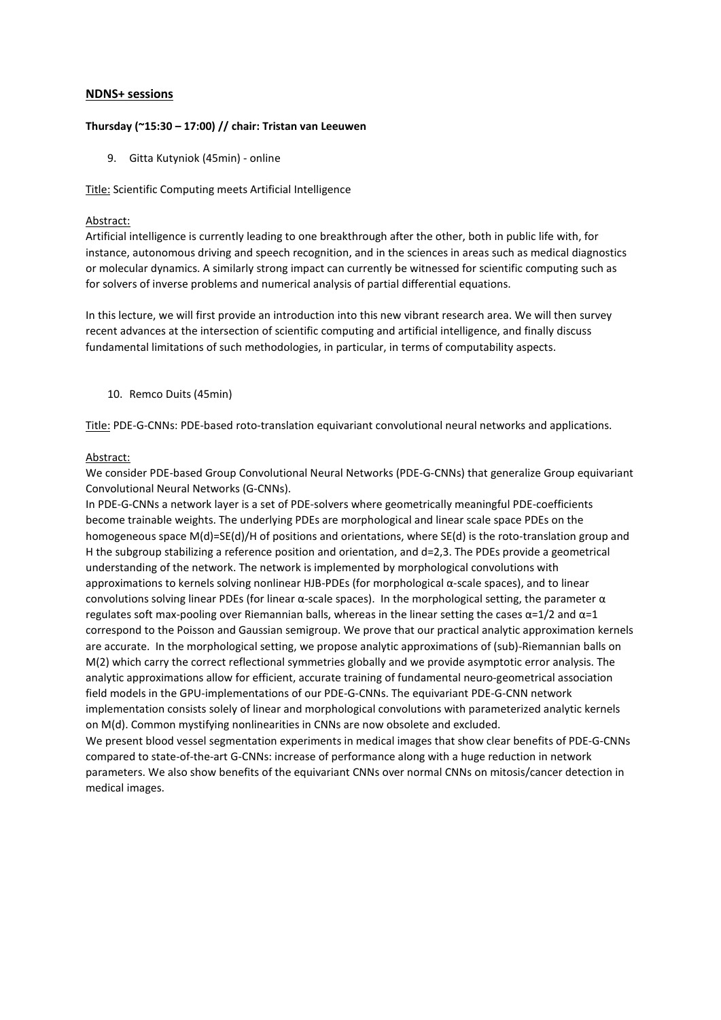### **NDNS+ sessions**

### **Thursday (~15:30 – 17:00) // chair: Tristan van Leeuwen**

9. Gitta Kutyniok (45min) - online

## Title: Scientific Computing meets Artificial Intelligence

### Abstract:

Artificial intelligence is currently leading to one breakthrough after the other, both in public life with, for instance, autonomous driving and speech recognition, and in the sciences in areas such as medical diagnostics or molecular dynamics. A similarly strong impact can currently be witnessed for scientific computing such as for solvers of inverse problems and numerical analysis of partial differential equations.

In this lecture, we will first provide an introduction into this new vibrant research area. We will then survey recent advances at the intersection of scientific computing and artificial intelligence, and finally discuss fundamental limitations of such methodologies, in particular, in terms of computability aspects.

10. Remco Duits (45min)

Title: PDE-G-CNNs: PDE-based roto-translation equivariant convolutional neural networks and applications.

## Abstract:

We consider PDE-based Group Convolutional Neural Networks (PDE-G-CNNs) that generalize Group equivariant Convolutional Neural Networks (G-CNNs).

In PDE-G-CNNs a network layer is a set of PDE-solvers where geometrically meaningful PDE-coefficients become trainable weights. The underlying PDEs are morphological and linear scale space PDEs on the homogeneous space M(d)=SE(d)/H of positions and orientations, where SE(d) is the roto-translation group and H the subgroup stabilizing a reference position and orientation, and d=2,3. The PDEs provide a geometrical understanding of the network. The network is implemented by morphological convolutions with approximations to kernels solving nonlinear HJB-PDEs (for morphological α-scale spaces), and to linear convolutions solving linear PDEs (for linear α-scale spaces). In the morphological setting, the parameter α regulates soft max-pooling over Riemannian balls, whereas in the linear setting the cases  $\alpha = 1/2$  and  $\alpha = 1$ correspond to the Poisson and Gaussian semigroup. We prove that our practical analytic approximation kernels are accurate. In the morphological setting, we propose analytic approximations of (sub)-Riemannian balls on M(2) which carry the correct reflectional symmetries globally and we provide asymptotic error analysis. The analytic approximations allow for efficient, accurate training of fundamental neuro-geometrical association field models in the GPU-implementations of our PDE-G-CNNs. The equivariant PDE-G-CNN network implementation consists solely of linear and morphological convolutions with parameterized analytic kernels on M(d). Common mystifying nonlinearities in CNNs are now obsolete and excluded. We present blood vessel segmentation experiments in medical images that show clear benefits of PDE-G-CNNs compared to state-of-the-art G-CNNs: increase of performance along with a huge reduction in network parameters. We also show benefits of the equivariant CNNs over normal CNNs on mitosis/cancer detection in

medical images.